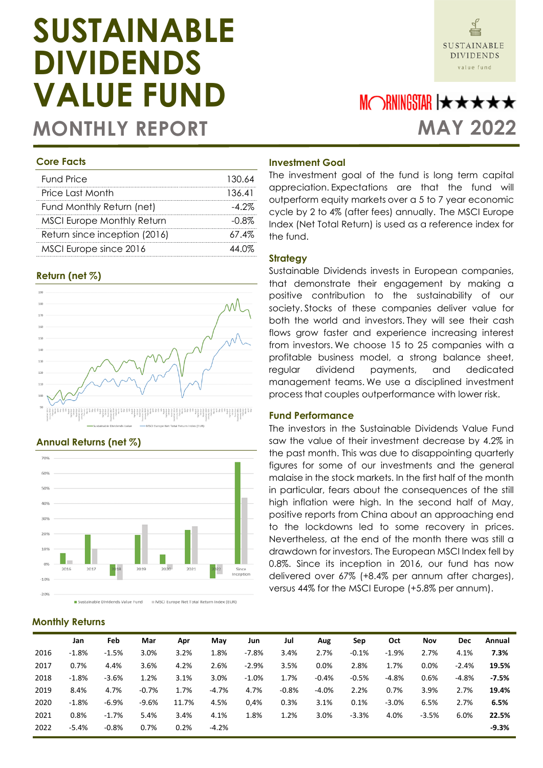# **SUSTAINABLE DIVIDENDS VALUE FUND**



M◯RNINGSTAR <del>★★★★★</del> **MONTHLY REPORT MAY 2022** 

### **Core Facts**

| <b>Fund Price</b>                 | 130 K.A |
|-----------------------------------|---------|
| Price Last Month                  | 136 41  |
| Fund Monthly Return (net)         |         |
| <b>MSCI Europe Monthly Return</b> |         |
| Return since inception (2016)     | 67.4%   |
| MSCI Europe since 2016            |         |

### **Return (net %)**





#### **Annual Returns (net %)**

## **Monthly Returns**

#### **Investment Goal**

The investment goal of the fund is long term capital appreciation. Expectations are that the fund will outperform equity markets over a 5 to 7 year economic cycle by 2 to 4% (after fees) annually.  The MSCI Europe Index (Net Total Return) is used as a reference index for the fund.

#### **Strategy**

Sustainable Dividends invests in European companies, that demonstrate their engagement by making a positive contribution to the sustainability of our society. Stocks of these companies deliver value for both the world and investors. They will see their cash flows grow faster and experience increasing interest from investors. We choose 15 to 25 companies with a profitable business model, a strong balance sheet, regular dividend payments, and dedicated management teams. We use a disciplined investment process that couples outperformance with lower risk.

#### **Fund Performance**

The investors in the Sustainable Dividends Value Fund saw the value of their investment decrease by 4.2% in the past month. This was due to disappointing quarterly figures for some of our investments and the general malaise in the stock markets. In the first half of the month in particular, fears about the consequences of the still high inflation were high. In the second half of May, positive reports from China about an approaching end to the lockdowns led to some recovery in prices. Nevertheless, at the end of the month there was still a drawdown for investors. The European MSCI Index fell by 0.8%. Since its inception in 2016, our fund has now delivered over 67% (+8.4% per annum after charges), versus 44% for the MSCI Europe (+5.8% per annum).

|      | Jan     | Feb     | Mar     | Apr   | May     | Jun     | Jul     | Aug     | Sep     | Oct     | <b>Nov</b> | Dec     | Annual  |
|------|---------|---------|---------|-------|---------|---------|---------|---------|---------|---------|------------|---------|---------|
| 2016 | $-1.8%$ | $-1.5%$ | 3.0%    | 3.2%  | 1.8%    | $-7.8%$ | 3.4%    | 2.7%    | $-0.1%$ | $-1.9%$ | 2.7%       | 4.1%    | 7.3%    |
| 2017 | 0.7%    | 4.4%    | 3.6%    | 4.2%  | 2.6%    | $-2.9%$ | 3.5%    | 0.0%    | 2.8%    | 1.7%    | 0.0%       | $-2.4%$ | 19.5%   |
| 2018 | $-1.8%$ | $-3.6%$ | 1.2%    | 3.1%  | 3.0%    | $-1.0%$ | 1.7%    | $-0.4%$ | $-0.5%$ | $-4.8%$ | 0.6%       | $-4.8%$ | $-7.5%$ |
| 2019 | 8.4%    | 4.7%    | $-0.7%$ | 1.7%  | $-4.7%$ | 4.7%    | $-0.8%$ | $-4.0%$ | 2.2%    | 0.7%    | 3.9%       | 2.7%    | 19.4%   |
| 2020 | $-1.8%$ | $-6.9%$ | $-9.6%$ | 11.7% | 4.5%    | 0.4%    | 0.3%    | 3.1%    | 0.1%    | $-3.0%$ | 6.5%       | 2.7%    | 6.5%    |
| 2021 | 0.8%    | $-1.7%$ | 5.4%    | 3.4%  | 4.1%    | 1.8%    | 1.2%    | 3.0%    | $-3.3%$ | 4.0%    | $-3.5%$    | 6.0%    | 22.5%   |
| 2022 | $-5.4%$ | $-0.8%$ | 0.7%    | 0.2%  | $-4.2%$ |         |         |         |         |         |            |         | $-9.3%$ |